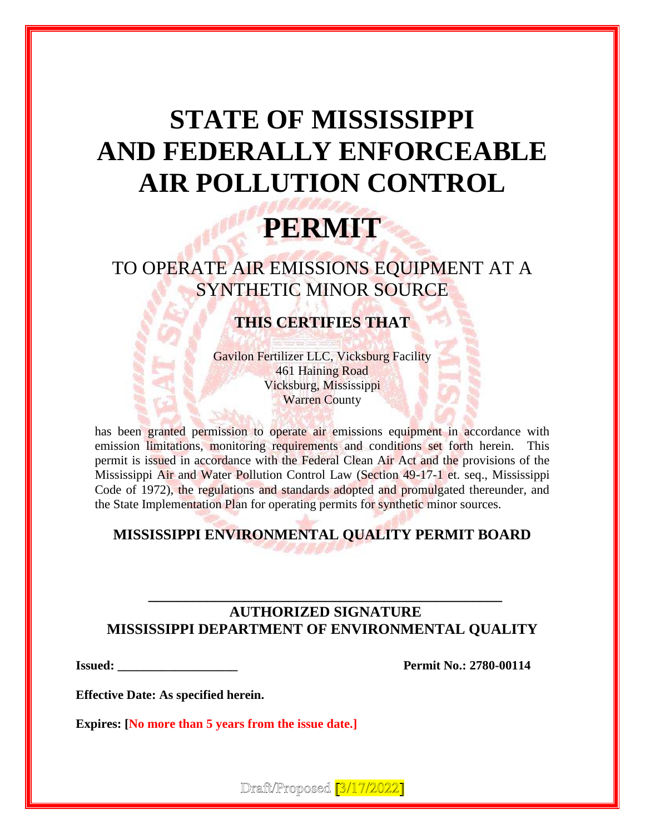# **STATE OF MISSISSIPPI AND FEDERALLY ENFORCEABLE AIR POLLUTION CONTROL**

## **PERMIT**

TO OPERATE AIR EMISSIONS EQUIPMENT AT A SYNTHETIC MINOR SOURCE

## **THIS CERTIFIES THAT**

Gavilon Fertilizer LLC, Vicksburg Facility 461 Haining Road Vicksburg, Mississippi Warren County

has been granted permission to operate air emissions equipment in accordance with emission limitations, monitoring requirements and conditions set forth herein. This permit is issued in accordance with the Federal Clean Air Act and the provisions of the Mississippi Air and Water Pollution Control Law (Section 49-17-1 et. seq., Mississippi Code of 1972), the regulations and standards adopted and promulgated thereunder, and the State Implementation Plan for operating permits for synthetic minor sources.

## **MISSISSIPPI ENVIRONMENTAL QUALITY PERMIT BOARD**

## **AUTHORIZED SIGNATURE MISSISSIPPI DEPARTMENT OF ENVIRONMENTAL QUALITY**

**\_\_\_\_\_\_\_\_\_\_\_\_\_\_\_\_\_\_\_\_\_\_\_\_\_\_\_\_\_\_\_\_\_\_\_\_\_\_\_\_\_\_\_\_\_\_\_\_**

**Issued: Permit No.: 2780-00114** 

**Effective Date: As specified herein.**

**Expires: [No more than 5 years from the issue date.]**

Draft/Proposed [3/17/2022]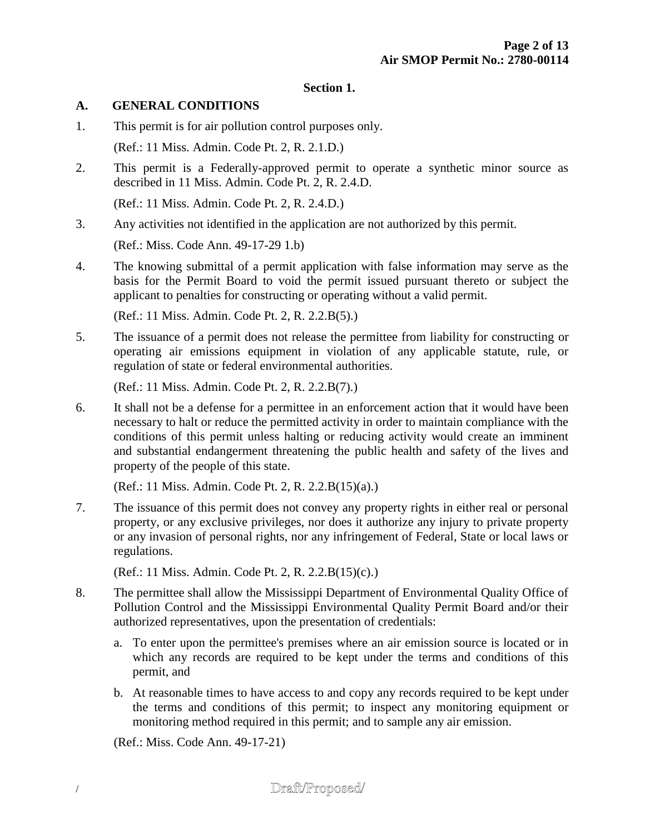#### **Section 1.**

#### **A. GENERAL CONDITIONS**

- 1. This permit is for air pollution control purposes only. (Ref.: 11 Miss. Admin. Code Pt. 2, R. 2.1.D.)
- 2. This permit is a Federally-approved permit to operate a synthetic minor source as described in 11 Miss. Admin. Code Pt. 2, R. 2.4.D.

(Ref.: 11 Miss. Admin. Code Pt. 2, R. 2.4.D.)

3. Any activities not identified in the application are not authorized by this permit.

(Ref.: Miss. Code Ann. 49-17-29 1.b)

4. The knowing submittal of a permit application with false information may serve as the basis for the Permit Board to void the permit issued pursuant thereto or subject the applicant to penalties for constructing or operating without a valid permit.

(Ref.: 11 Miss. Admin. Code Pt. 2, R. 2.2.B(5).)

5. The issuance of a permit does not release the permittee from liability for constructing or operating air emissions equipment in violation of any applicable statute, rule, or regulation of state or federal environmental authorities.

(Ref.: 11 Miss. Admin. Code Pt. 2, R. 2.2.B(7).)

6. It shall not be a defense for a permittee in an enforcement action that it would have been necessary to halt or reduce the permitted activity in order to maintain compliance with the conditions of this permit unless halting or reducing activity would create an imminent and substantial endangerment threatening the public health and safety of the lives and property of the people of this state.

(Ref.: 11 Miss. Admin. Code Pt. 2, R. 2.2.B(15)(a).)

7. The issuance of this permit does not convey any property rights in either real or personal property, or any exclusive privileges, nor does it authorize any injury to private property or any invasion of personal rights, nor any infringement of Federal, State or local laws or regulations.

(Ref.: 11 Miss. Admin. Code Pt. 2, R. 2.2.B(15)(c).)

- 8. The permittee shall allow the Mississippi Department of Environmental Quality Office of Pollution Control and the Mississippi Environmental Quality Permit Board and/or their authorized representatives, upon the presentation of credentials:
	- a. To enter upon the permittee's premises where an air emission source is located or in which any records are required to be kept under the terms and conditions of this permit, and
	- b. At reasonable times to have access to and copy any records required to be kept under the terms and conditions of this permit; to inspect any monitoring equipment or monitoring method required in this permit; and to sample any air emission.

(Ref.: Miss. Code Ann. 49-17-21)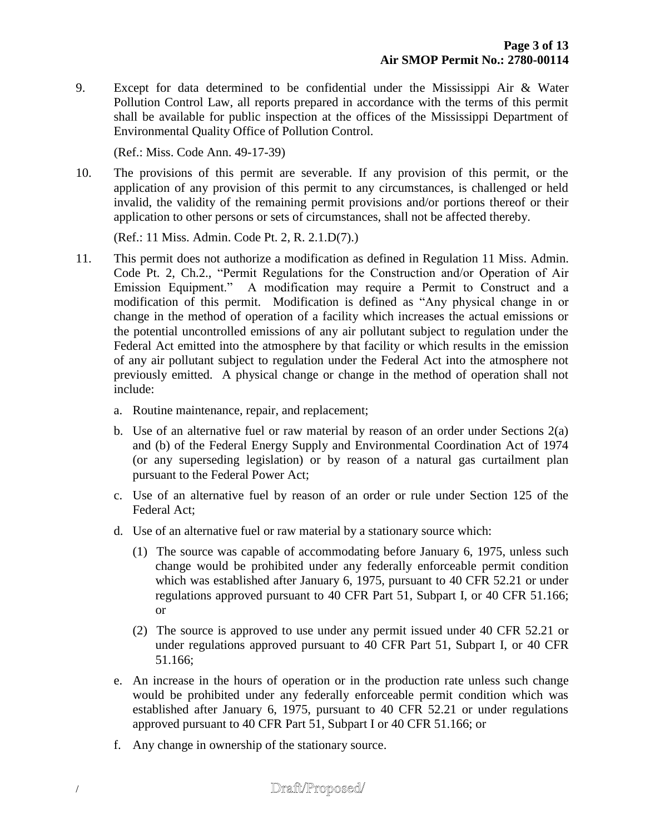9. Except for data determined to be confidential under the Mississippi Air & Water Pollution Control Law, all reports prepared in accordance with the terms of this permit shall be available for public inspection at the offices of the Mississippi Department of Environmental Quality Office of Pollution Control.

(Ref.: Miss. Code Ann. 49-17-39)

10. The provisions of this permit are severable. If any provision of this permit, or the application of any provision of this permit to any circumstances, is challenged or held invalid, the validity of the remaining permit provisions and/or portions thereof or their application to other persons or sets of circumstances, shall not be affected thereby.

(Ref.: 11 Miss. Admin. Code Pt. 2, R. 2.1.D(7).)

- 11. This permit does not authorize a modification as defined in Regulation 11 Miss. Admin. Code Pt. 2, Ch.2., "Permit Regulations for the Construction and/or Operation of Air Emission Equipment." A modification may require a Permit to Construct and a modification of this permit. Modification is defined as "Any physical change in or change in the method of operation of a facility which increases the actual emissions or the potential uncontrolled emissions of any air pollutant subject to regulation under the Federal Act emitted into the atmosphere by that facility or which results in the emission of any air pollutant subject to regulation under the Federal Act into the atmosphere not previously emitted. A physical change or change in the method of operation shall not include:
	- a. Routine maintenance, repair, and replacement;
	- b. Use of an alternative fuel or raw material by reason of an order under Sections 2(a) and (b) of the Federal Energy Supply and Environmental Coordination Act of 1974 (or any superseding legislation) or by reason of a natural gas curtailment plan pursuant to the Federal Power Act;
	- c. Use of an alternative fuel by reason of an order or rule under Section 125 of the Federal Act;
	- d. Use of an alternative fuel or raw material by a stationary source which:
		- (1) The source was capable of accommodating before January 6, 1975, unless such change would be prohibited under any federally enforceable permit condition which was established after January 6, 1975, pursuant to 40 CFR 52.21 or under regulations approved pursuant to 40 CFR Part 51, Subpart I, or 40 CFR 51.166; or
		- (2) The source is approved to use under any permit issued under 40 CFR 52.21 or under regulations approved pursuant to 40 CFR Part 51, Subpart I, or 40 CFR 51.166;
	- e. An increase in the hours of operation or in the production rate unless such change would be prohibited under any federally enforceable permit condition which was established after January 6, 1975, pursuant to 40 CFR 52.21 or under regulations approved pursuant to 40 CFR Part 51, Subpart I or 40 CFR 51.166; or
	- f. Any change in ownership of the stationary source.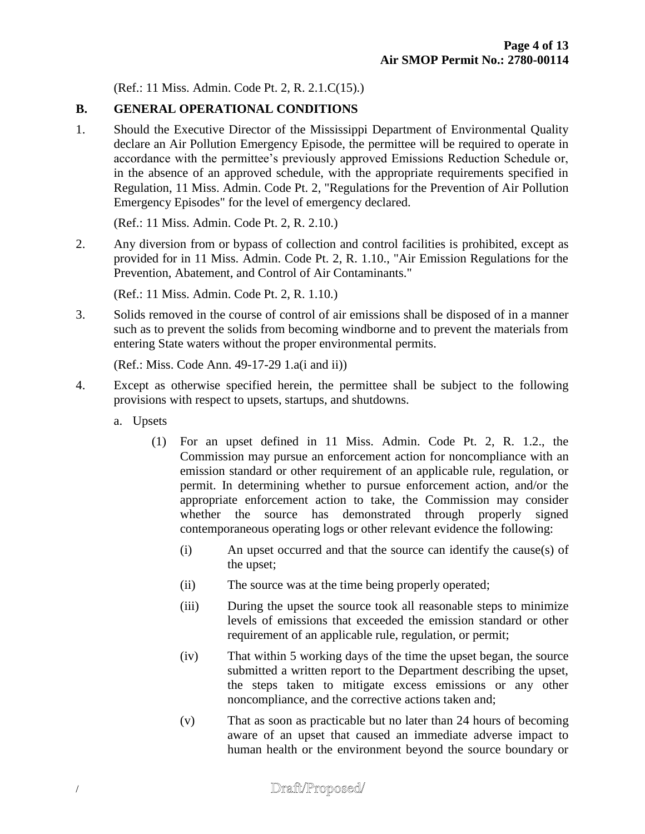(Ref.: 11 Miss. Admin. Code Pt. 2, R. 2.1.C(15).)

## **B. GENERAL OPERATIONAL CONDITIONS**

1. Should the Executive Director of the Mississippi Department of Environmental Quality declare an Air Pollution Emergency Episode, the permittee will be required to operate in accordance with the permittee's previously approved Emissions Reduction Schedule or, in the absence of an approved schedule, with the appropriate requirements specified in Regulation, 11 Miss. Admin. Code Pt. 2, "Regulations for the Prevention of Air Pollution Emergency Episodes" for the level of emergency declared.

(Ref.: 11 Miss. Admin. Code Pt. 2, R. 2.10.)

2. Any diversion from or bypass of collection and control facilities is prohibited, except as provided for in 11 Miss. Admin. Code Pt. 2, R. 1.10., "Air Emission Regulations for the Prevention, Abatement, and Control of Air Contaminants."

(Ref.: 11 Miss. Admin. Code Pt. 2, R. 1.10.)

3. Solids removed in the course of control of air emissions shall be disposed of in a manner such as to prevent the solids from becoming windborne and to prevent the materials from entering State waters without the proper environmental permits.

(Ref.: Miss. Code Ann. 49-17-29 1.a(i and ii))

- 4. Except as otherwise specified herein, the permittee shall be subject to the following provisions with respect to upsets, startups, and shutdowns.
	- a. Upsets
		- (1) For an upset defined in 11 Miss. Admin. Code Pt. 2, R. 1.2., the Commission may pursue an enforcement action for noncompliance with an emission standard or other requirement of an applicable rule, regulation, or permit. In determining whether to pursue enforcement action, and/or the appropriate enforcement action to take, the Commission may consider whether the source has demonstrated through properly signed contemporaneous operating logs or other relevant evidence the following:
			- (i) An upset occurred and that the source can identify the cause(s) of the upset;
			- (ii) The source was at the time being properly operated;
			- (iii) During the upset the source took all reasonable steps to minimize levels of emissions that exceeded the emission standard or other requirement of an applicable rule, regulation, or permit;
			- (iv) That within 5 working days of the time the upset began, the source submitted a written report to the Department describing the upset, the steps taken to mitigate excess emissions or any other noncompliance, and the corrective actions taken and;
			- (v) That as soon as practicable but no later than 24 hours of becoming aware of an upset that caused an immediate adverse impact to human health or the environment beyond the source boundary or

## Draft/Proposed/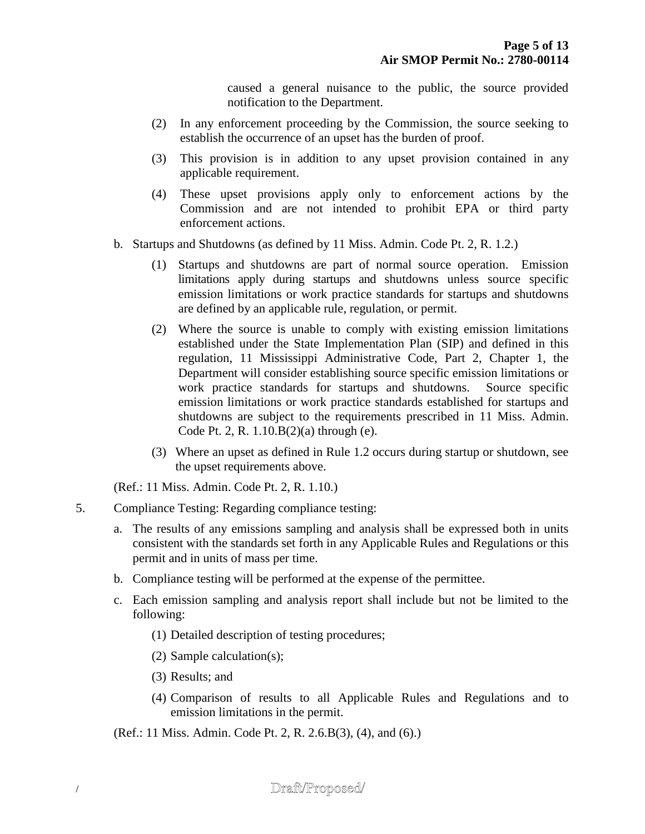caused a general nuisance to the public, the source provided notification to the Department.

- (2) In any enforcement proceeding by the Commission, the source seeking to establish the occurrence of an upset has the burden of proof.
- (3) This provision is in addition to any upset provision contained in any applicable requirement.
- (4) These upset provisions apply only to enforcement actions by the Commission and are not intended to prohibit EPA or third party enforcement actions.
- b. Startups and Shutdowns (as defined by 11 Miss. Admin. Code Pt. 2, R. 1.2.)
	- (1) Startups and shutdowns are part of normal source operation. Emission limitations apply during startups and shutdowns unless source specific emission limitations or work practice standards for startups and shutdowns are defined by an applicable rule, regulation, or permit.
	- (2) Where the source is unable to comply with existing emission limitations established under the State Implementation Plan (SIP) and defined in this regulation, 11 Mississippi Administrative Code, Part 2, Chapter 1, the Department will consider establishing source specific emission limitations or work practice standards for startups and shutdowns. Source specific emission limitations or work practice standards established for startups and shutdowns are subject to the requirements prescribed in 11 Miss. Admin. Code Pt. 2, R. 1.10.B(2)(a) through (e).
	- (3) Where an upset as defined in Rule 1.2 occurs during startup or shutdown, see the upset requirements above.

(Ref.: 11 Miss. Admin. Code Pt. 2, R. 1.10.)

- 5. Compliance Testing: Regarding compliance testing:
	- a. The results of any emissions sampling and analysis shall be expressed both in units consistent with the standards set forth in any Applicable Rules and Regulations or this permit and in units of mass per time.
	- b. Compliance testing will be performed at the expense of the permittee.
	- c. Each emission sampling and analysis report shall include but not be limited to the following:
		- (1) Detailed description of testing procedures;
		- (2) Sample calculation(s);
		- (3) Results; and
		- (4) Comparison of results to all Applicable Rules and Regulations and to emission limitations in the permit.

(Ref.: 11 Miss. Admin. Code Pt. 2, R. 2.6.B(3), (4), and (6).)

## Draft/Proposed/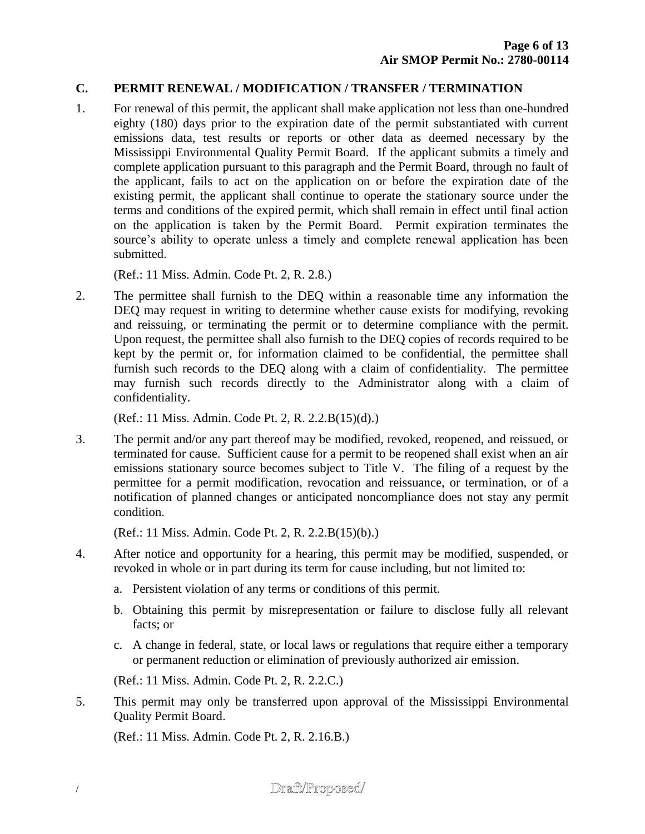### **C. PERMIT RENEWAL / MODIFICATION / TRANSFER / TERMINATION**

1. For renewal of this permit, the applicant shall make application not less than one-hundred eighty (180) days prior to the expiration date of the permit substantiated with current emissions data, test results or reports or other data as deemed necessary by the Mississippi Environmental Quality Permit Board. If the applicant submits a timely and complete application pursuant to this paragraph and the Permit Board, through no fault of the applicant, fails to act on the application on or before the expiration date of the existing permit, the applicant shall continue to operate the stationary source under the terms and conditions of the expired permit, which shall remain in effect until final action on the application is taken by the Permit Board. Permit expiration terminates the source's ability to operate unless a timely and complete renewal application has been submitted.

(Ref.: 11 Miss. Admin. Code Pt. 2, R. 2.8.)

2. The permittee shall furnish to the DEQ within a reasonable time any information the DEQ may request in writing to determine whether cause exists for modifying, revoking and reissuing, or terminating the permit or to determine compliance with the permit. Upon request, the permittee shall also furnish to the DEQ copies of records required to be kept by the permit or, for information claimed to be confidential, the permittee shall furnish such records to the DEQ along with a claim of confidentiality. The permittee may furnish such records directly to the Administrator along with a claim of confidentiality.

(Ref.: 11 Miss. Admin. Code Pt. 2, R. 2.2.B(15)(d).)

3. The permit and/or any part thereof may be modified, revoked, reopened, and reissued, or terminated for cause. Sufficient cause for a permit to be reopened shall exist when an air emissions stationary source becomes subject to Title V. The filing of a request by the permittee for a permit modification, revocation and reissuance, or termination, or of a notification of planned changes or anticipated noncompliance does not stay any permit condition.

(Ref.: 11 Miss. Admin. Code Pt. 2, R. 2.2.B(15)(b).)

- 4. After notice and opportunity for a hearing, this permit may be modified, suspended, or revoked in whole or in part during its term for cause including, but not limited to:
	- a. Persistent violation of any terms or conditions of this permit.
	- b. Obtaining this permit by misrepresentation or failure to disclose fully all relevant facts; or
	- c. A change in federal, state, or local laws or regulations that require either a temporary or permanent reduction or elimination of previously authorized air emission.

(Ref.: 11 Miss. Admin. Code Pt. 2, R. 2.2.C.)

5. This permit may only be transferred upon approval of the Mississippi Environmental Quality Permit Board.

(Ref.: 11 Miss. Admin. Code Pt. 2, R. 2.16.B.)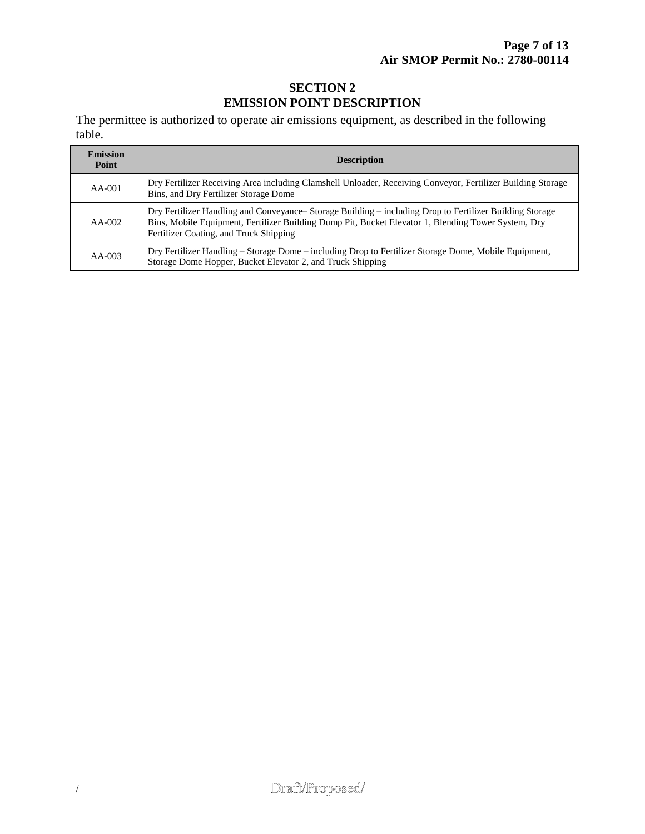## **SECTION 2 EMISSION POINT DESCRIPTION**

The permittee is authorized to operate air emissions equipment, as described in the following table.

| <b>Emission</b><br>Point | <b>Description</b>                                                                                                                                                                                                                                        |
|--------------------------|-----------------------------------------------------------------------------------------------------------------------------------------------------------------------------------------------------------------------------------------------------------|
| $AA-001$                 | Dry Fertilizer Receiving Area including Clamshell Unloader, Receiving Conveyor, Fertilizer Building Storage<br>Bins, and Dry Fertilizer Storage Dome                                                                                                      |
| $AA-002$                 | Dry Fertilizer Handling and Conveyance– Storage Building – including Drop to Fertilizer Building Storage<br>Bins, Mobile Equipment, Fertilizer Building Dump Pit, Bucket Elevator 1, Blending Tower System, Dry<br>Fertilizer Coating, and Truck Shipping |
| $AA-003$                 | Dry Fertilizer Handling – Storage Dome – including Drop to Fertilizer Storage Dome, Mobile Equipment,<br>Storage Dome Hopper, Bucket Elevator 2, and Truck Shipping                                                                                       |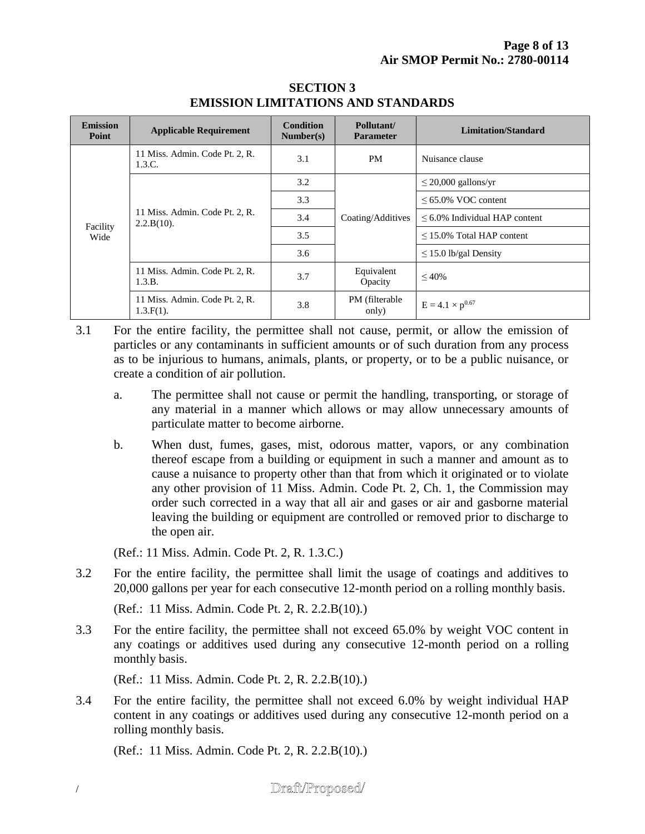| <b>Emission</b><br>Point | <b>Applicable Requirement</b>                   | <b>Condition</b><br>Number(s) | Pollutant/<br><b>Parameter</b> | <b>Limitation/Standard</b>          |
|--------------------------|-------------------------------------------------|-------------------------------|--------------------------------|-------------------------------------|
| Facility<br>Wide         | 11 Miss. Admin. Code Pt. 2, R.<br>1.3.C.        | 3.1                           | <b>PM</b>                      | Nuisance clause                     |
|                          | 11 Miss. Admin. Code Pt. 2, R.<br>$2.2.B(10)$ . | 3.2                           | Coating/Additives              | $\leq$ 20,000 gallons/yr            |
|                          |                                                 | 3.3                           |                                | $<65.0\%$ VOC content               |
|                          |                                                 | 3.4                           |                                | $\leq 6.0\%$ Individual HAP content |
|                          |                                                 | 3.5                           |                                | $\leq$ 15.0% Total HAP content      |
|                          |                                                 | 3.6                           |                                | $\leq$ 15.0 lb/gal Density          |
|                          | 11 Miss. Admin. Code Pt. 2, R.<br>1.3.B.        | 3.7                           | Equivalent<br>Opacity          | $\leq 40\%$                         |
|                          | 11 Miss. Admin. Code Pt. 2, R.<br>$1.3.F(1)$ .  | 3.8                           | PM (filterable)<br>only)       | $E = 4.1 \times p^{0.67}$           |

### **SECTION 3 EMISSION LIMITATIONS AND STANDARDS**

- 3.1 For the entire facility, the permittee shall not cause, permit, or allow the emission of particles or any contaminants in sufficient amounts or of such duration from any process as to be injurious to humans, animals, plants, or property, or to be a public nuisance, or create a condition of air pollution.
	- a. The permittee shall not cause or permit the handling, transporting, or storage of any material in a manner which allows or may allow unnecessary amounts of particulate matter to become airborne.
	- b. When dust, fumes, gases, mist, odorous matter, vapors, or any combination thereof escape from a building or equipment in such a manner and amount as to cause a nuisance to property other than that from which it originated or to violate any other provision of 11 Miss. Admin. Code Pt. 2, Ch. 1, the Commission may order such corrected in a way that all air and gases or air and gasborne material leaving the building or equipment are controlled or removed prior to discharge to the open air.

(Ref.: 11 Miss. Admin. Code Pt. 2, R. 1.3.C.)

3.2 For the entire facility, the permittee shall limit the usage of coatings and additives to 20,000 gallons per year for each consecutive 12-month period on a rolling monthly basis.

(Ref.: 11 Miss. Admin. Code Pt. 2, R. 2.2.B(10).)

3.3 For the entire facility, the permittee shall not exceed 65.0% by weight VOC content in any coatings or additives used during any consecutive 12-month period on a rolling monthly basis.

(Ref.: 11 Miss. Admin. Code Pt. 2, R. 2.2.B(10).)

3.4 For the entire facility, the permittee shall not exceed 6.0% by weight individual HAP content in any coatings or additives used during any consecutive 12-month period on a rolling monthly basis.

(Ref.: 11 Miss. Admin. Code Pt. 2, R. 2.2.B(10).)

## Draft/Proposed/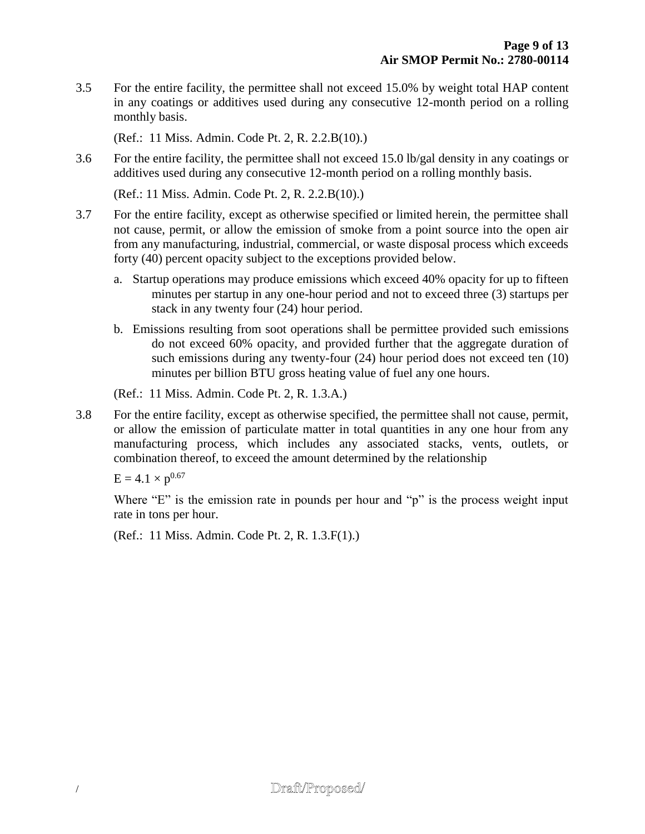3.5 For the entire facility, the permittee shall not exceed 15.0% by weight total HAP content in any coatings or additives used during any consecutive 12-month period on a rolling monthly basis.

(Ref.: 11 Miss. Admin. Code Pt. 2, R. 2.2.B(10).)

3.6 For the entire facility, the permittee shall not exceed 15.0 lb/gal density in any coatings or additives used during any consecutive 12-month period on a rolling monthly basis.

(Ref.: 11 Miss. Admin. Code Pt. 2, R. 2.2.B(10).)

- 3.7 For the entire facility, except as otherwise specified or limited herein, the permittee shall not cause, permit, or allow the emission of smoke from a point source into the open air from any manufacturing, industrial, commercial, or waste disposal process which exceeds forty (40) percent opacity subject to the exceptions provided below.
	- a. Startup operations may produce emissions which exceed 40% opacity for up to fifteen minutes per startup in any one-hour period and not to exceed three (3) startups per stack in any twenty four (24) hour period.
	- b. Emissions resulting from soot operations shall be permittee provided such emissions do not exceed 60% opacity, and provided further that the aggregate duration of such emissions during any twenty-four (24) hour period does not exceed ten (10) minutes per billion BTU gross heating value of fuel any one hours.

(Ref.: 11 Miss. Admin. Code Pt. 2, R. 1.3.A.)

3.8 For the entire facility, except as otherwise specified, the permittee shall not cause, permit, or allow the emission of particulate matter in total quantities in any one hour from any manufacturing process, which includes any associated stacks, vents, outlets, or combination thereof, to exceed the amount determined by the relationship

 $E = 4.1 \times p^{0.67}$ 

Where "E" is the emission rate in pounds per hour and "p" is the process weight input rate in tons per hour.

(Ref.: 11 Miss. Admin. Code Pt. 2, R. 1.3.F(1).)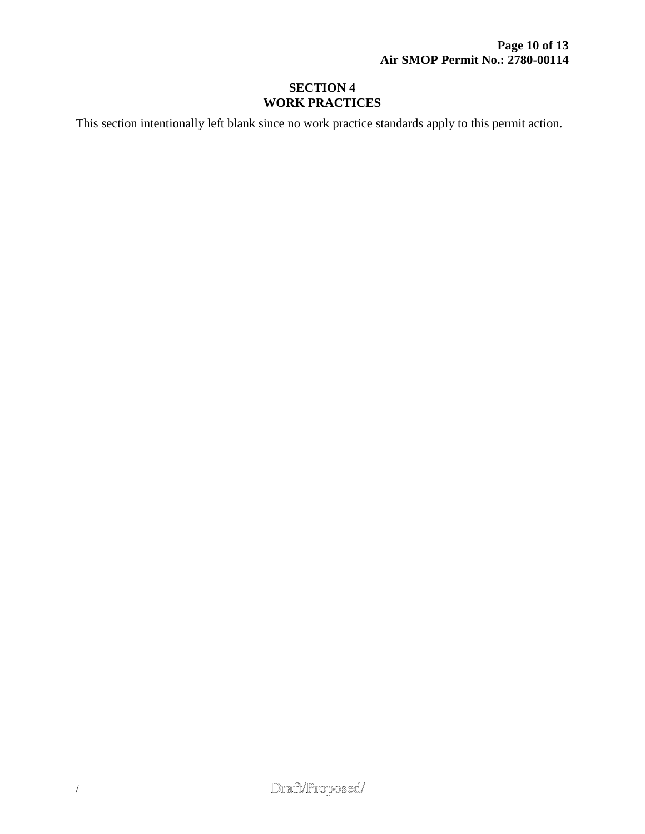## **SECTION 4 WORK PRACTICES**

This section intentionally left blank since no work practice standards apply to this permit action.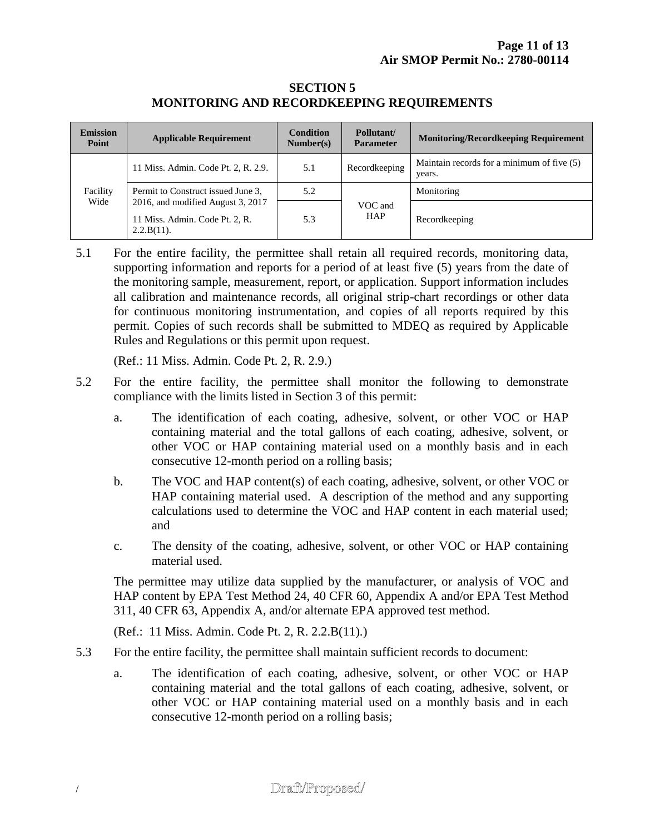#### **SECTION 5 MONITORING AND RECORDKEEPING REQUIREMENTS**

| <b>Emission</b><br>Point | <b>Applicable Requirement</b>                                                        | <b>Condition</b><br>Number(s) | Pollutant/<br><b>Parameter</b> | <b>Monitoring/Recordkeeping Requirement</b>          |
|--------------------------|--------------------------------------------------------------------------------------|-------------------------------|--------------------------------|------------------------------------------------------|
| Facility<br>Wide         | 11 Miss. Admin. Code Pt. 2, R. 2.9.                                                  | 5.1                           | Recordkeeping                  | Maintain records for a minimum of five (5)<br>years. |
|                          | Permit to Construct issued June 3,                                                   | 5.2                           | VOC and<br><b>HAP</b>          | Monitoring                                           |
|                          | 2016, and modified August 3, 2017<br>11 Miss. Admin. Code Pt. 2, R.<br>$2.2.B(11)$ . | 5.3                           |                                | Recordkeeping                                        |

5.1 For the entire facility, the permittee shall retain all required records, monitoring data, supporting information and reports for a period of at least five (5) years from the date of the monitoring sample, measurement, report, or application. Support information includes all calibration and maintenance records, all original strip-chart recordings or other data for continuous monitoring instrumentation, and copies of all reports required by this permit. Copies of such records shall be submitted to MDEQ as required by Applicable Rules and Regulations or this permit upon request.

(Ref.: 11 Miss. Admin. Code Pt. 2, R. 2.9.)

- 5.2 For the entire facility, the permittee shall monitor the following to demonstrate compliance with the limits listed in Section 3 of this permit:
	- a. The identification of each coating, adhesive, solvent, or other VOC or HAP containing material and the total gallons of each coating, adhesive, solvent, or other VOC or HAP containing material used on a monthly basis and in each consecutive 12-month period on a rolling basis;
	- b. The VOC and HAP content(s) of each coating, adhesive, solvent, or other VOC or HAP containing material used. A description of the method and any supporting calculations used to determine the VOC and HAP content in each material used; and
	- c. The density of the coating, adhesive, solvent, or other VOC or HAP containing material used.

The permittee may utilize data supplied by the manufacturer, or analysis of VOC and HAP content by EPA Test Method 24, 40 CFR 60, Appendix A and/or EPA Test Method 311, 40 CFR 63, Appendix A, and/or alternate EPA approved test method.

(Ref.: 11 Miss. Admin. Code Pt. 2, R. 2.2.B(11).)

- 5.3 For the entire facility, the permittee shall maintain sufficient records to document:
	- a. The identification of each coating, adhesive, solvent, or other VOC or HAP containing material and the total gallons of each coating, adhesive, solvent, or other VOC or HAP containing material used on a monthly basis and in each consecutive 12-month period on a rolling basis;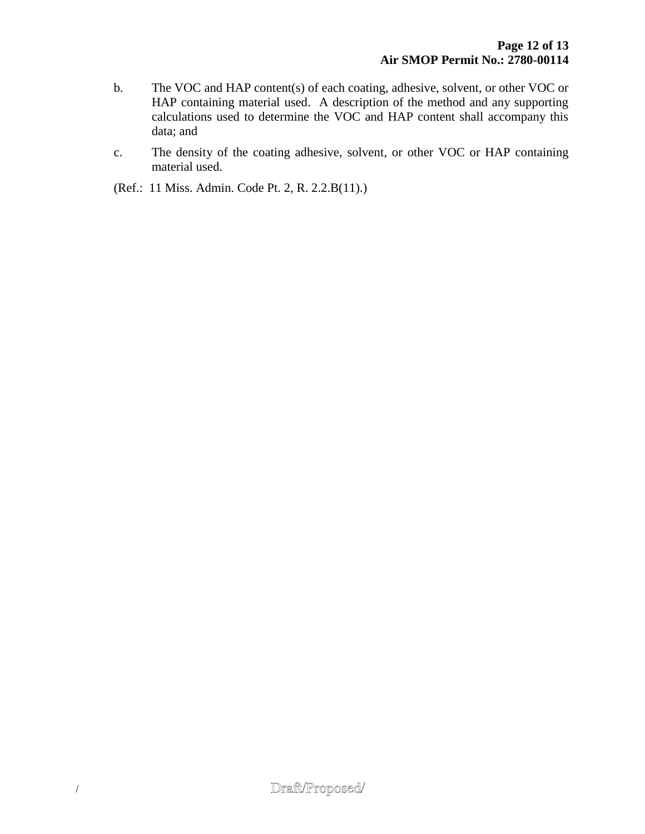- b. The VOC and HAP content(s) of each coating, adhesive, solvent, or other VOC or HAP containing material used. A description of the method and any supporting calculations used to determine the VOC and HAP content shall accompany this data; and
- c. The density of the coating adhesive, solvent, or other VOC or HAP containing material used.

(Ref.: 11 Miss. Admin. Code Pt. 2, R. 2.2.B(11).)